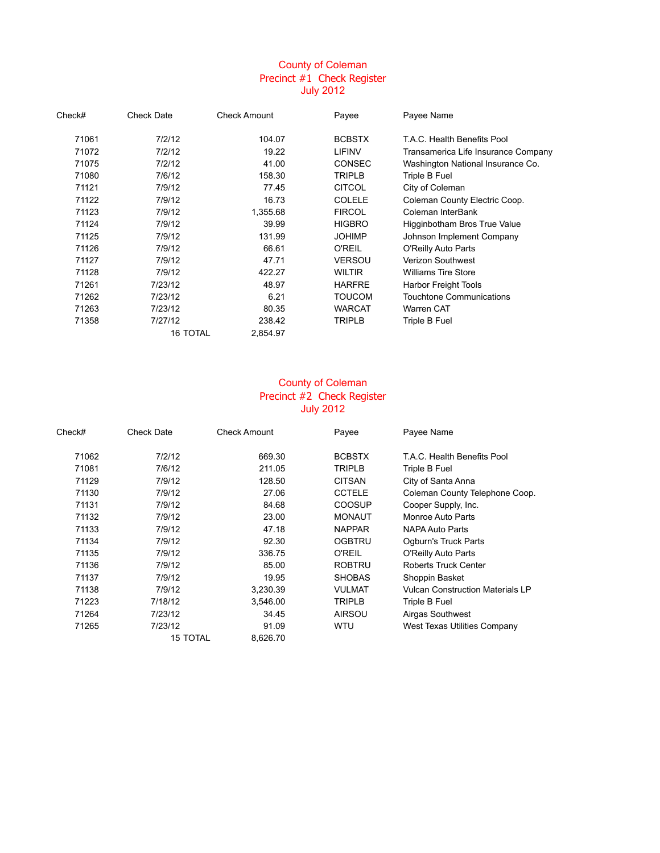## County of Coleman Precinct #1 Check Register July 2012

| Check# | <b>Check Date</b> | <b>Check Amount</b> | Payee         | Payee Name                          |
|--------|-------------------|---------------------|---------------|-------------------------------------|
| 71061  | 7/2/12            | 104.07              | <b>BCBSTX</b> | T.A.C. Health Benefits Pool         |
| 71072  | 7/2/12            | 19.22               | LIFINV        | Transamerica Life Insurance Company |
| 71075  | 7/2/12            | 41.00               | <b>CONSEC</b> | Washington National Insurance Co.   |
| 71080  | 7/6/12            | 158.30              | <b>TRIPLB</b> | Triple B Fuel                       |
| 71121  | 7/9/12            | 77.45               | <b>CITCOL</b> | City of Coleman                     |
| 71122  | 7/9/12            | 16.73               | <b>COLELE</b> | Coleman County Electric Coop.       |
| 71123  | 7/9/12            | 1,355.68            | <b>FIRCOL</b> | Coleman InterBank                   |
| 71124  | 7/9/12            | 39.99               | <b>HIGBRO</b> | Higginbotham Bros True Value        |
| 71125  | 7/9/12            | 131.99              | <b>JOHIMP</b> | Johnson Implement Company           |
| 71126  | 7/9/12            | 66.61               | <b>O'REIL</b> | O'Reilly Auto Parts                 |
| 71127  | 7/9/12            | 47.71               | <b>VERSOU</b> | <b>Verizon Southwest</b>            |
| 71128  | 7/9/12            | 422.27              | <b>WILTIR</b> | <b>Williams Tire Store</b>          |
| 71261  | 7/23/12           | 48.97               | <b>HARFRE</b> | <b>Harbor Freight Tools</b>         |
| 71262  | 7/23/12           | 6.21                | <b>TOUCOM</b> | Touchtone Communications            |
| 71263  | 7/23/12           | 80.35               | <b>WARCAT</b> | Warren CAT                          |
| 71358  | 7/27/12           | 238.42              | <b>TRIPLB</b> | Triple B Fuel                       |
|        | <b>16 TOTAL</b>   | 2,854.97            |               |                                     |

## County of Coleman Precinct #2 Check Register July 2012

| Check# | <b>Check Date</b> | <b>Check Amount</b> | Payee         | Payee Name                              |
|--------|-------------------|---------------------|---------------|-----------------------------------------|
| 71062  | 7/2/12            | 669.30              | <b>BCBSTX</b> | T.A.C. Health Benefits Pool             |
| 71081  | 7/6/12            | 211.05              | <b>TRIPLB</b> | Triple B Fuel                           |
| 71129  | 7/9/12            | 128.50              | <b>CITSAN</b> | City of Santa Anna                      |
| 71130  | 7/9/12            | 27.06               | <b>CCTELE</b> | Coleman County Telephone Coop.          |
| 71131  | 7/9/12            | 84.68               | <b>COOSUP</b> | Cooper Supply, Inc.                     |
| 71132  | 7/9/12            | 23.00               | <b>MONAUT</b> | Monroe Auto Parts                       |
| 71133  | 7/9/12            | 47.18               | <b>NAPPAR</b> | <b>NAPA Auto Parts</b>                  |
| 71134  | 7/9/12            | 92.30               | <b>OGBTRU</b> | Ogburn's Truck Parts                    |
| 71135  | 7/9/12            | 336.75              | <b>O'REIL</b> | O'Reilly Auto Parts                     |
| 71136  | 7/9/12            | 85.00               | <b>ROBTRU</b> | Roberts Truck Center                    |
| 71137  | 7/9/12            | 19.95               | <b>SHOBAS</b> | Shoppin Basket                          |
| 71138  | 7/9/12            | 3,230.39            | <b>VULMAT</b> | <b>Vulcan Construction Materials LP</b> |
| 71223  | 7/18/12           | 3,546.00            | <b>TRIPLB</b> | Triple B Fuel                           |
| 71264  | 7/23/12           | 34.45               | <b>AIRSOU</b> | Airgas Southwest                        |
| 71265  | 7/23/12           | 91.09               | WTU           | West Texas Utilities Company            |
|        | 15 TOTAL          | 8,626.70            |               |                                         |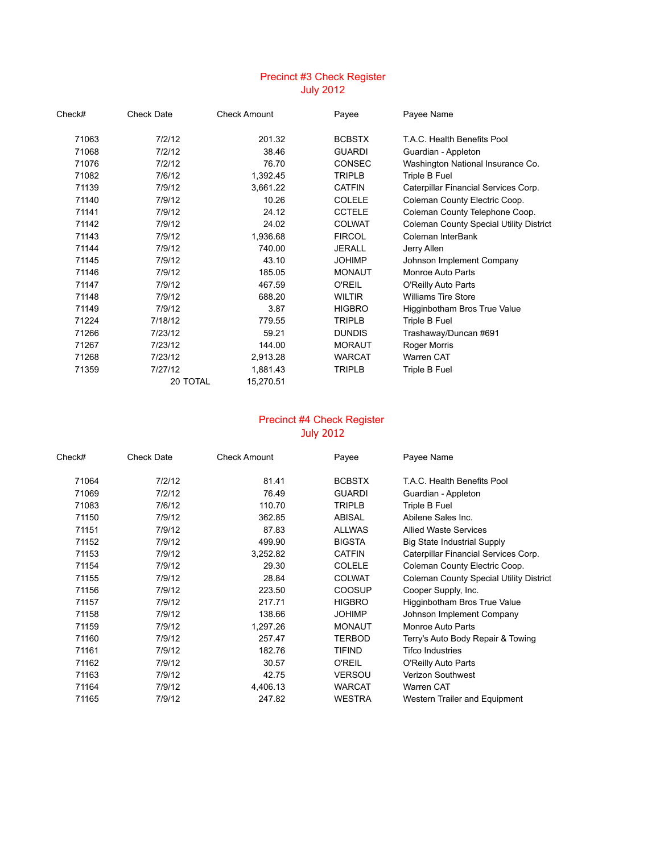# Precinct #3 Check Register July 2012

| Check# | <b>Check Date</b> | <b>Check Amount</b> | Payee         | Payee Name                              |
|--------|-------------------|---------------------|---------------|-----------------------------------------|
| 71063  | 7/2/12            | 201.32              | <b>BCBSTX</b> | T.A.C. Health Benefits Pool             |
| 71068  | 7/2/12            | 38.46               | <b>GUARDI</b> | Guardian - Appleton                     |
| 71076  | 7/2/12            | 76.70               | <b>CONSEC</b> | Washington National Insurance Co.       |
| 71082  | 7/6/12            | 1,392.45            | <b>TRIPLB</b> | Triple B Fuel                           |
| 71139  | 7/9/12            | 3,661.22            | <b>CATFIN</b> | Caterpillar Financial Services Corp.    |
| 71140  | 7/9/12            | 10.26               | <b>COLELE</b> | Coleman County Electric Coop.           |
| 71141  | 7/9/12            | 24.12               | <b>CCTELE</b> | Coleman County Telephone Coop.          |
| 71142  | 7/9/12            | 24.02               | <b>COLWAT</b> | Coleman County Special Utility District |
| 71143  | 7/9/12            | 1,936.68            | <b>FIRCOL</b> | Coleman InterBank                       |
| 71144  | 7/9/12            | 740.00              | <b>JERALL</b> | Jerry Allen                             |
| 71145  | 7/9/12            | 43.10               | <b>JOHIMP</b> | Johnson Implement Company               |
| 71146  | 7/9/12            | 185.05              | <b>MONAUT</b> | Monroe Auto Parts                       |
| 71147  | 7/9/12            | 467.59              | <b>O'REIL</b> | O'Reilly Auto Parts                     |
| 71148  | 7/9/12            | 688.20              | <b>WILTIR</b> | <b>Williams Tire Store</b>              |
| 71149  | 7/9/12            | 3.87                | <b>HIGBRO</b> | Higginbotham Bros True Value            |
| 71224  | 7/18/12           | 779.55              | <b>TRIPLB</b> | Triple B Fuel                           |
| 71266  | 7/23/12           | 59.21               | <b>DUNDIS</b> | Trashaway/Duncan #691                   |
| 71267  | 7/23/12           | 144.00              | <b>MORAUT</b> | Roger Morris                            |
| 71268  | 7/23/12           | 2,913.28            | <b>WARCAT</b> | Warren CAT                              |
| 71359  | 7/27/12           | 1,881.43            | <b>TRIPLB</b> | Triple B Fuel                           |
|        | 20 TOTAL          | 15,270.51           |               |                                         |
|        |                   |                     |               |                                         |

### Precinct #4 Check Register July 2012

| Check# | <b>Check Date</b> | <b>Check Amount</b> | Payee         | Payee Name                                     |
|--------|-------------------|---------------------|---------------|------------------------------------------------|
| 71064  | 7/2/12            | 81.41               | <b>BCBSTX</b> | T.A.C. Health Benefits Pool                    |
| 71069  | 7/2/12            | 76.49               | <b>GUARDI</b> | Guardian - Appleton                            |
| 71083  | 7/6/12            | 110.70              | <b>TRIPLB</b> | Triple B Fuel                                  |
| 71150  | 7/9/12            | 362.85              | ABISAL        | Abilene Sales Inc.                             |
| 71151  | 7/9/12            | 87.83               | <b>ALLWAS</b> | <b>Allied Waste Services</b>                   |
| 71152  | 7/9/12            | 499.90              | <b>BIGSTA</b> | <b>Big State Industrial Supply</b>             |
| 71153  | 7/9/12            | 3,252.82            | <b>CATFIN</b> | Caterpillar Financial Services Corp.           |
| 71154  | 7/9/12            | 29.30               | <b>COLELE</b> | Coleman County Electric Coop.                  |
| 71155  | 7/9/12            | 28.84               | <b>COLWAT</b> | <b>Coleman County Special Utility District</b> |
| 71156  | 7/9/12            | 223.50              | <b>COOSUP</b> | Cooper Supply, Inc.                            |
| 71157  | 7/9/12            | 217.71              | <b>HIGBRO</b> | Higginbotham Bros True Value                   |
| 71158  | 7/9/12            | 138.66              | <b>JOHIMP</b> | Johnson Implement Company                      |
| 71159  | 7/9/12            | 1,297.26            | <b>MONAUT</b> | Monroe Auto Parts                              |
| 71160  | 7/9/12            | 257.47              | <b>TERBOD</b> | Terry's Auto Body Repair & Towing              |
| 71161  | 7/9/12            | 182.76              | TIFIND        | <b>Tifco Industries</b>                        |
| 71162  | 7/9/12            | 30.57               | <b>O'REIL</b> | O'Reilly Auto Parts                            |
| 71163  | 7/9/12            | 42.75               | <b>VERSOU</b> | <b>Verizon Southwest</b>                       |
| 71164  | 7/9/12            | 4,406.13            | <b>WARCAT</b> | Warren CAT                                     |
| 71165  | 7/9/12            | 247.82              | <b>WESTRA</b> | Western Trailer and Equipment                  |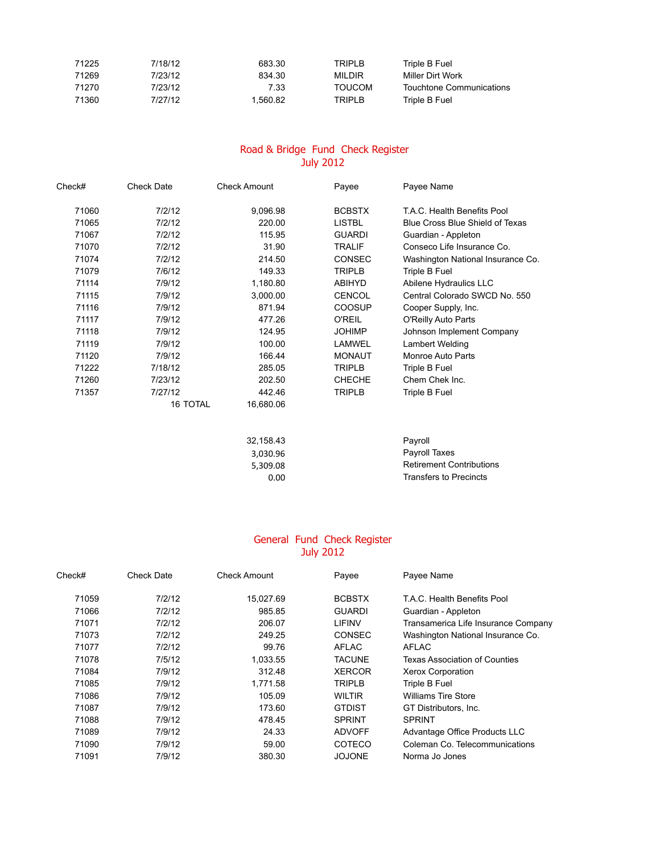| 71225 | 7/18/12 | 683.30  | <b>TRIPLB</b> | Triple B Fuel            |
|-------|---------|---------|---------------|--------------------------|
| 71269 | 7/23/12 | 834.30  | MILDIR        | Miller Dirt Work         |
| 71270 | 7/23/12 | 7.33    | TOUCOM        | Touchtone Communications |
| 71360 | 7/27/12 | .560.82 | <b>TRIPLB</b> | Triple B Fuel            |

#### Road & Bridge Fund Check Register July 2012

| Check# | <b>Check Date</b> | <b>Check Amount</b> | Payee         | Payee Name                        |
|--------|-------------------|---------------------|---------------|-----------------------------------|
| 71060  | 7/2/12            | 9,096.98            | <b>BCBSTX</b> | T.A.C. Health Benefits Pool       |
| 71065  | 7/2/12            | 220.00              | <b>LISTBL</b> | Blue Cross Blue Shield of Texas   |
| 71067  | 7/2/12            | 115.95              | <b>GUARDI</b> | Guardian - Appleton               |
| 71070  | 7/2/12            | 31.90               | <b>TRALIF</b> | Conseco Life Insurance Co.        |
| 71074  | 7/2/12            | 214.50              | <b>CONSEC</b> | Washington National Insurance Co. |
| 71079  | 7/6/12            | 149.33              | <b>TRIPLB</b> | Triple B Fuel                     |
| 71114  | 7/9/12            | 1,180.80            | <b>ABIHYD</b> | Abilene Hydraulics LLC            |
| 71115  | 7/9/12            | 3,000.00            | <b>CENCOL</b> | Central Colorado SWCD No. 550     |
| 71116  | 7/9/12            | 871.94              | COOSUP        | Cooper Supply, Inc.               |
| 71117  | 7/9/12            | 477.26              | <b>O'REIL</b> | O'Reilly Auto Parts               |
| 71118  | 7/9/12            | 124.95              | <b>JOHIMP</b> | Johnson Implement Company         |
| 71119  | 7/9/12            | 100.00              | LAMWEL        | Lambert Welding                   |
| 71120  | 7/9/12            | 166.44              | <b>MONAUT</b> | Monroe Auto Parts                 |
| 71222  | 7/18/12           | 285.05              | TRIPLB        | Triple B Fuel                     |
| 71260  | 7/23/12           | 202.50              | <b>CHECHE</b> | Chem Chek Inc.                    |
| 71357  | 7/27/12           | 442.46              | TRIPLB        | Triple B Fuel                     |
|        | <b>16 TOTAL</b>   | 16,680.06           |               |                                   |
|        |                   |                     |               |                                   |
|        |                   | 32,158.43           |               | Payroll                           |
|        |                   | 3,030.96            |               | Payroll Taxes                     |
|        |                   | 5,309.08            |               | <b>Retirement Contributions</b>   |
|        |                   | 0.00                |               | <b>Transfers to Precincts</b>     |

#### General Fund Check Register July 2012

| Check# | <b>Check Date</b> | <b>Check Amount</b> | Payee         | Payee Name                          |
|--------|-------------------|---------------------|---------------|-------------------------------------|
| 71059  | 7/2/12            | 15,027.69           | <b>BCBSTX</b> | T.A.C. Health Benefits Pool         |
| 71066  | 7/2/12            | 985.85              | <b>GUARDI</b> | Guardian - Appleton                 |
| 71071  | 7/2/12            | 206.07              | LIFINV        | Transamerica Life Insurance Company |
| 71073  | 7/2/12            | 249.25              | <b>CONSEC</b> | Washington National Insurance Co.   |
| 71077  | 7/2/12            | 99.76               | <b>AFLAC</b>  | AFLAC                               |
| 71078  | 7/5/12            | 1,033.55            | <b>TACUNE</b> | Texas Association of Counties       |
| 71084  | 7/9/12            | 312.48              | <b>XERCOR</b> | Xerox Corporation                   |
| 71085  | 7/9/12            | 1,771.58            | <b>TRIPLB</b> | Triple B Fuel                       |
| 71086  | 7/9/12            | 105.09              | <b>WILTIR</b> | <b>Williams Tire Store</b>          |
| 71087  | 7/9/12            | 173.60              | <b>GTDIST</b> | GT Distributors, Inc.               |
| 71088  | 7/9/12            | 478.45              | <b>SPRINT</b> | <b>SPRINT</b>                       |
| 71089  | 7/9/12            | 24.33               | <b>ADVOFF</b> | Advantage Office Products LLC       |
| 71090  | 7/9/12            | 59.00               | COTECO        | Coleman Co. Telecommunications      |
| 71091  | 7/9/12            | 380.30              | <b>JOJONE</b> | Norma Jo Jones                      |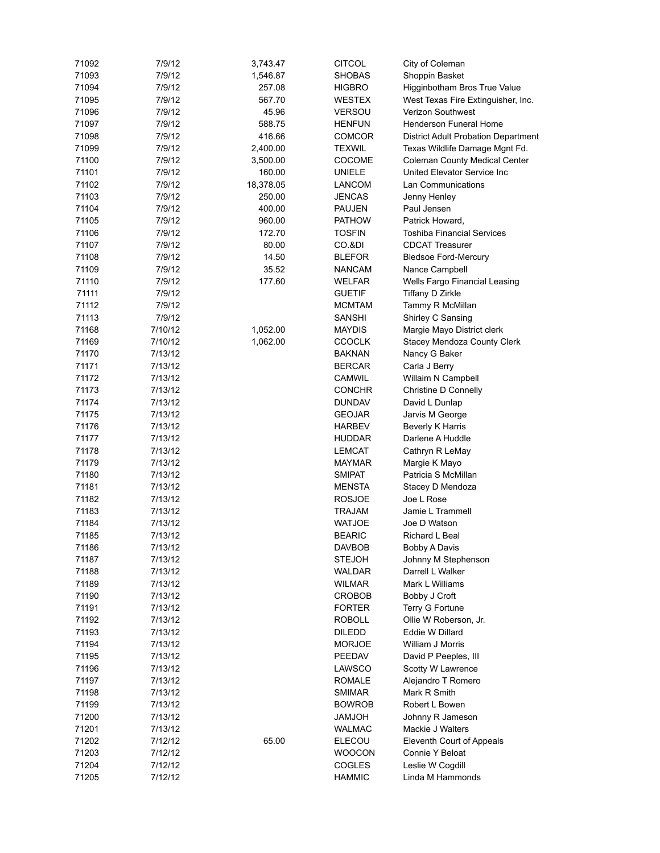| 71092 | 7/9/12  | 3,743.47  | <b>CITCOL</b> | City of Coleman                            |
|-------|---------|-----------|---------------|--------------------------------------------|
| 71093 | 7/9/12  | 1,546.87  | <b>SHOBAS</b> | Shoppin Basket                             |
| 71094 | 7/9/12  | 257.08    | <b>HIGBRO</b> | Higginbotham Bros True Value               |
| 71095 | 7/9/12  | 567.70    | WESTEX        | West Texas Fire Extinguisher, Inc.         |
| 71096 | 7/9/12  | 45.96     | <b>VERSOU</b> | <b>Verizon Southwest</b>                   |
| 71097 | 7/9/12  | 588.75    | <b>HENFUN</b> | Henderson Funeral Home                     |
| 71098 | 7/9/12  | 416.66    | <b>COMCOR</b> | <b>District Adult Probation Department</b> |
| 71099 | 7/9/12  | 2,400.00  | <b>TEXWIL</b> | Texas Wildlife Damage Mgnt Fd.             |
| 71100 | 7/9/12  | 3,500.00  | <b>COCOME</b> | Coleman County Medical Center              |
| 71101 | 7/9/12  | 160.00    | UNIELE        | United Elevator Service Inc                |
| 71102 | 7/9/12  | 18,378.05 | <b>LANCOM</b> | Lan Communications                         |
| 71103 | 7/9/12  | 250.00    | <b>JENCAS</b> | Jenny Henley                               |
| 71104 | 7/9/12  | 400.00    | <b>PAUJEN</b> | Paul Jensen                                |
| 71105 | 7/9/12  | 960.00    | <b>PATHOW</b> | Patrick Howard,                            |
|       |         |           |               |                                            |
| 71106 | 7/9/12  | 172.70    | <b>TOSFIN</b> | <b>Toshiba Financial Services</b>          |
| 71107 | 7/9/12  | 80.00     | CO.&DI        | <b>CDCAT Treasurer</b>                     |
| 71108 | 7/9/12  | 14.50     | <b>BLEFOR</b> | <b>Bledsoe Ford-Mercury</b>                |
| 71109 | 7/9/12  | 35.52     | <b>NANCAM</b> | Nance Campbell                             |
| 71110 | 7/9/12  | 177.60    | <b>WELFAR</b> | Wells Fargo Financial Leasing              |
| 71111 | 7/9/12  |           | <b>GUETIF</b> | Tiffany D Zirkle                           |
| 71112 | 7/9/12  |           | <b>MCMTAM</b> | Tammy R McMillan                           |
| 71113 | 7/9/12  |           | <b>SANSHI</b> | Shirley C Sansing                          |
| 71168 | 7/10/12 | 1,052.00  | <b>MAYDIS</b> | Margie Mayo District clerk                 |
| 71169 | 7/10/12 | 1,062.00  | <b>CCOCLK</b> | Stacey Mendoza County Clerk                |
| 71170 | 7/13/12 |           | <b>BAKNAN</b> | Nancy G Baker                              |
| 71171 | 7/13/12 |           | <b>BERCAR</b> | Carla J Berry                              |
| 71172 | 7/13/12 |           | <b>CAMWIL</b> | Willaim N Campbell                         |
| 71173 | 7/13/12 |           | <b>CONCHR</b> | Christine D Connelly                       |
| 71174 | 7/13/12 |           | <b>DUNDAV</b> | David L Dunlap                             |
| 71175 | 7/13/12 |           | <b>GEOJAR</b> | Jarvis M George                            |
| 71176 | 7/13/12 |           | <b>HARBEV</b> | Beverly K Harris                           |
| 71177 | 7/13/12 |           | <b>HUDDAR</b> | Darlene A Huddle                           |
| 71178 | 7/13/12 |           | <b>LEMCAT</b> | Cathryn R LeMay                            |
| 71179 | 7/13/12 |           | <b>MAYMAR</b> | Margie K Mayo                              |
| 71180 | 7/13/12 |           | <b>SMIPAT</b> | Patricia S McMillan                        |
| 71181 | 7/13/12 |           | <b>MENSTA</b> | Stacey D Mendoza                           |
| 71182 | 7/13/12 |           | <b>ROSJOE</b> | Joe L Rose                                 |
| 71183 | 7/13/12 |           | TRAJAM        | Jamie L Trammell                           |
| 71184 | 7/13/12 |           | <b>WATJOE</b> | Joe D Watson                               |
| 71185 | 7/13/12 |           | <b>BEARIC</b> | Richard L Beal                             |
| 71186 | 7/13/12 |           | <b>DAVBOB</b> | <b>Bobby A Davis</b>                       |
| 71187 | 7/13/12 |           | <b>STEJOH</b> | Johnny M Stephenson                        |
| 71188 | 7/13/12 |           | WALDAR        | Darrell L Walker                           |
| 71189 | 7/13/12 |           | WILMAR        | Mark L Williams                            |
| 71190 | 7/13/12 |           | <b>CROBOB</b> | Bobby J Croft                              |
| 71191 | 7/13/12 |           | <b>FORTER</b> | Terry G Fortune                            |
| 71192 | 7/13/12 |           | ROBOLL        | Ollie W Roberson, Jr.                      |
| 71193 | 7/13/12 |           | <b>DILEDD</b> | Eddie W Dillard                            |
|       |         |           |               |                                            |
| 71194 | 7/13/12 |           | <b>MORJOE</b> | William J Morris                           |
| 71195 | 7/13/12 |           | PEEDAV        | David P Peeples, III                       |
| 71196 | 7/13/12 |           | LAWSCO        | Scotty W Lawrence                          |
| 71197 | 7/13/12 |           | ROMALE        | Alejandro T Romero                         |
| 71198 | 7/13/12 |           | <b>SMIMAR</b> | Mark R Smith                               |
| 71199 | 7/13/12 |           | <b>BOWROB</b> | Robert L Bowen                             |
| 71200 | 7/13/12 |           | HOLMAL        | Johnny R Jameson                           |
| 71201 | 7/13/12 |           | <b>WALMAC</b> | Mackie J Walters                           |
| 71202 | 7/12/12 | 65.00     | ELECOU        | Eleventh Court of Appeals                  |
| 71203 | 7/12/12 |           | <b>WOOCON</b> | Connie Y Beloat                            |
| 71204 | 7/12/12 |           | <b>COGLES</b> | Leslie W Cogdill                           |
| 71205 | 7/12/12 |           | <b>HAMMIC</b> | Linda M Hammonds                           |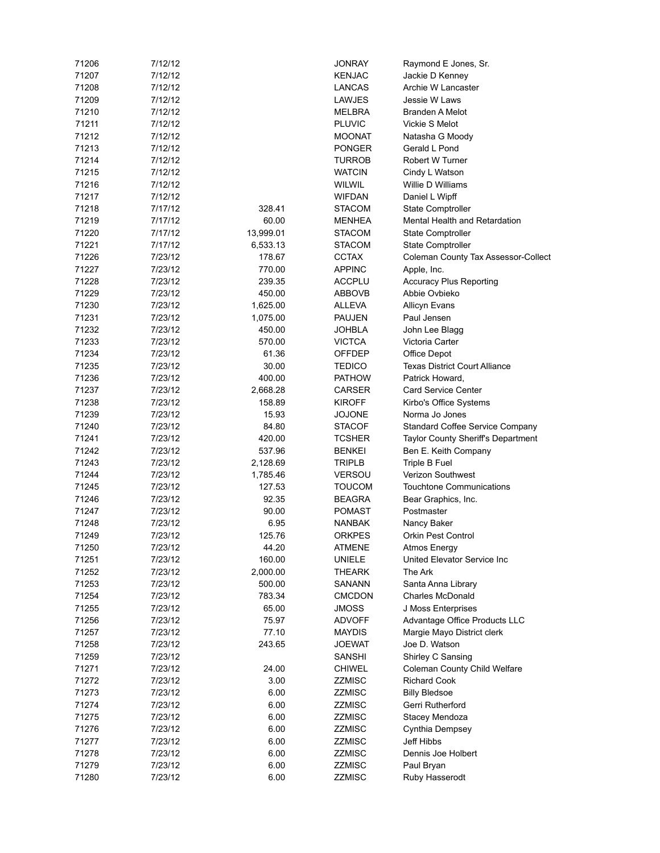| 71206 | 7/12/12 |           | <b>JONRAY</b> | Raymond E Jones, Sr.                      |
|-------|---------|-----------|---------------|-------------------------------------------|
| 71207 | 7/12/12 |           | <b>KENJAC</b> | Jackie D Kenney                           |
| 71208 | 7/12/12 |           | <b>LANCAS</b> | Archie W Lancaster                        |
| 71209 | 7/12/12 |           | LAWJES        | Jessie W Laws                             |
| 71210 | 7/12/12 |           | MELBRA        | Branden A Melot                           |
| 71211 | 7/12/12 |           | <b>PLUVIC</b> | Vickie S Melot                            |
| 71212 | 7/12/12 |           | <b>MOONAT</b> | Natasha G Moody                           |
| 71213 | 7/12/12 |           | <b>PONGER</b> | Gerald L Pond                             |
| 71214 | 7/12/12 |           | <b>TURROB</b> | Robert W Turner                           |
| 71215 | 7/12/12 |           | <b>WATCIN</b> | Cindy L Watson                            |
| 71216 | 7/12/12 |           | <b>WILWIL</b> | Willie D Williams                         |
|       |         |           |               |                                           |
| 71217 | 7/12/12 |           | <b>WIFDAN</b> | Daniel L Wipff                            |
| 71218 | 7/17/12 | 328.41    | <b>STACOM</b> | <b>State Comptroller</b>                  |
| 71219 | 7/17/12 | 60.00     | <b>MENHEA</b> | Mental Health and Retardation             |
| 71220 | 7/17/12 | 13,999.01 | <b>STACOM</b> | State Comptroller                         |
| 71221 | 7/17/12 | 6,533.13  | <b>STACOM</b> | <b>State Comptroller</b>                  |
| 71226 | 7/23/12 | 178.67    | <b>CCTAX</b>  | Coleman County Tax Assessor-Collect       |
| 71227 | 7/23/12 | 770.00    | <b>APPINC</b> | Apple, Inc.                               |
| 71228 | 7/23/12 | 239.35    | <b>ACCPLU</b> | <b>Accuracy Plus Reporting</b>            |
| 71229 | 7/23/12 | 450.00    | ABBOVB        | Abbie Ovbieko                             |
| 71230 | 7/23/12 | 1,625.00  | ALLEVA        | <b>Allicyn Evans</b>                      |
| 71231 | 7/23/12 | 1,075.00  | <b>PAUJEN</b> | Paul Jensen                               |
| 71232 | 7/23/12 | 450.00    | JOHBLA        | John Lee Blagg                            |
| 71233 | 7/23/12 | 570.00    | <b>VICTCA</b> | Victoria Carter                           |
| 71234 | 7/23/12 | 61.36     | OFFDEP        | Office Depot                              |
| 71235 | 7/23/12 | 30.00     | <b>TEDICO</b> | Texas District Court Alliance             |
| 71236 | 7/23/12 | 400.00    | <b>PATHOW</b> | Patrick Howard,                           |
| 71237 | 7/23/12 | 2,668.28  | CARSER        | Card Service Center                       |
| 71238 | 7/23/12 | 158.89    | <b>KIROFF</b> |                                           |
|       |         |           |               | Kirbo's Office Systems                    |
| 71239 | 7/23/12 | 15.93     | <b>JOJONE</b> | Norma Jo Jones                            |
| 71240 | 7/23/12 | 84.80     | <b>STACOF</b> | Standard Coffee Service Company           |
| 71241 | 7/23/12 | 420.00    | <b>TCSHER</b> | <b>Taylor County Sheriff's Department</b> |
| 71242 | 7/23/12 | 537.96    | <b>BENKEI</b> | Ben E. Keith Company                      |
| 71243 | 7/23/12 | 2,128.69  | <b>TRIPLB</b> | Triple B Fuel                             |
| 71244 | 7/23/12 | 1,785.46  | <b>VERSOU</b> | Verizon Southwest                         |
| 71245 | 7/23/12 | 127.53    | <b>TOUCOM</b> | <b>Touchtone Communications</b>           |
| 71246 | 7/23/12 | 92.35     | <b>BEAGRA</b> | Bear Graphics, Inc.                       |
| 71247 | 7/23/12 | 90.00     | <b>POMAST</b> | Postmaster                                |
| 71248 | 7/23/12 | 6.95      | NANBAK        | Nancy Baker                               |
| 71249 | 7/23/12 | 125.76    | ORKPES        | Orkin Pest Control                        |
| 71250 | 7/23/12 | 44.20     | <b>ATMENE</b> | Atmos Energy                              |
| 71251 | 7/23/12 | 160.00    | <b>UNIELE</b> | United Elevator Service Inc               |
| 71252 | 7/23/12 | 2,000.00  | <b>THEARK</b> | The Ark                                   |
| 71253 | 7/23/12 | 500.00    | SANANN        | Santa Anna Library                        |
| 71254 | 7/23/12 | 783.34    | <b>CMCDON</b> | Charles McDonald                          |
| 71255 | 7/23/12 | 65.00     | JMOSS         | J Moss Enterprises                        |
| 71256 | 7/23/12 | 75.97     | <b>ADVOFF</b> | Advantage Office Products LLC             |
| 71257 | 7/23/12 | 77.10     | <b>MAYDIS</b> | Margie Mayo District clerk                |
| 71258 | 7/23/12 | 243.65    |               | Joe D. Watson                             |
|       |         |           | <b>JOEWAT</b> |                                           |
| 71259 | 7/23/12 |           | SANSHI        | Shirley C Sansing                         |
| 71271 | 7/23/12 | 24.00     | <b>CHIWEL</b> | Coleman County Child Welfare              |
| 71272 | 7/23/12 | 3.00      | <b>ZZMISC</b> | <b>Richard Cook</b>                       |
| 71273 | 7/23/12 | 6.00      | <b>ZZMISC</b> | <b>Billy Bledsoe</b>                      |
| 71274 | 7/23/12 | 6.00      | ZZMISC        | Gerri Rutherford                          |
| 71275 | 7/23/12 | 6.00      | <b>ZZMISC</b> | Stacey Mendoza                            |
| 71276 | 7/23/12 | 6.00      | <b>ZZMISC</b> | Cynthia Dempsey                           |
| 71277 | 7/23/12 | 6.00      | <b>ZZMISC</b> | Jeff Hibbs                                |
| 71278 | 7/23/12 | 6.00      | ZZMISC        | Dennis Joe Holbert                        |
| 71279 | 7/23/12 | 6.00      | <b>ZZMISC</b> | Paul Bryan                                |
| 71280 | 7/23/12 | 6.00      | <b>ZZMISC</b> | Ruby Hasserodt                            |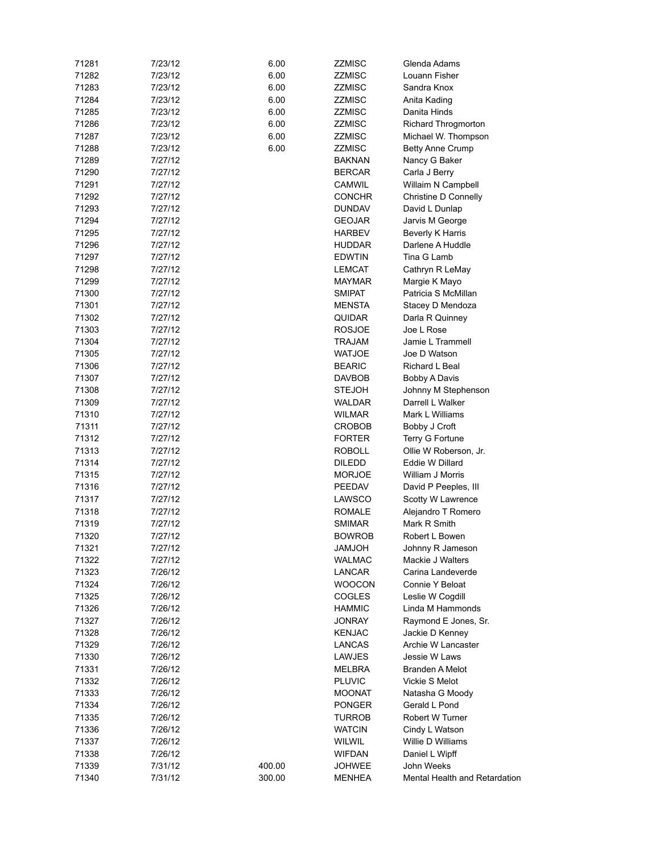| 71281 | 7/23/12 | 6.00   | <b>ZZMISC</b>           | Glenda Adams                  |
|-------|---------|--------|-------------------------|-------------------------------|
| 71282 | 7/23/12 | 6.00   | <b>ZZMISC</b>           | Louann Fisher                 |
| 71283 | 7/23/12 | 6.00   | ZZMISC                  | Sandra Knox                   |
| 71284 | 7/23/12 | 6.00   | ZZMISC                  | Anita Kading                  |
| 71285 | 7/23/12 | 6.00   | ZZMISC                  | Danita Hinds                  |
| 71286 | 7/23/12 | 6.00   | ZZMISC                  | Richard Throgmorton           |
| 71287 | 7/23/12 | 6.00   | ZZMISC                  | Michael W. Thompson           |
| 71288 | 7/23/12 | 6.00   | ZZMISC                  | <b>Betty Anne Crump</b>       |
| 71289 | 7/27/12 |        | <b>BAKNAN</b>           | Nancy G Baker                 |
| 71290 | 7/27/12 |        | <b>BERCAR</b>           | Carla J Berry                 |
| 71291 | 7/27/12 |        | <b>CAMWIL</b>           | Willaim N Campbell            |
| 71292 | 7/27/12 |        | <b>CONCHR</b>           | Christine D Connelly          |
| 71293 | 7/27/12 |        | <b>DUNDAV</b>           | David L Dunlap                |
| 71294 | 7/27/12 |        | <b>GEOJAR</b>           | Jarvis M George               |
| 71295 | 7/27/12 |        | <b>HARBEV</b>           | Beverly K Harris              |
| 71296 | 7/27/12 |        | <b>HUDDAR</b>           | Darlene A Huddle              |
| 71297 | 7/27/12 |        | <b>EDWTIN</b>           | Tina G Lamb                   |
| 71298 | 7/27/12 |        | LEMCAT                  | Cathryn R LeMay               |
| 71299 | 7/27/12 |        | <b>MAYMAR</b>           | Margie K Mayo                 |
| 71300 | 7/27/12 |        | <b>SMIPAT</b>           | Patricia S McMillan           |
| 71301 | 7/27/12 |        | MENSTA                  | Stacey D Mendoza              |
| 71302 | 7/27/12 |        |                         |                               |
|       |         |        | QUIDAR<br><b>ROSJOE</b> | Darla R Quinney               |
| 71303 | 7/27/12 |        |                         | Joe L Rose                    |
| 71304 | 7/27/12 |        | TRAJAM                  | Jamie L Trammell              |
| 71305 | 7/27/12 |        | <b>WATJOE</b>           | Joe D Watson                  |
| 71306 | 7/27/12 |        | <b>BEARIC</b>           | Richard L Beal                |
| 71307 | 7/27/12 |        | DAVBOB                  | <b>Bobby A Davis</b>          |
| 71308 | 7/27/12 |        | <b>STEJOH</b>           | Johnny M Stephenson           |
| 71309 | 7/27/12 |        | WALDAR                  | Darrell L Walker              |
| 71310 | 7/27/12 |        | WILMAR                  | Mark L Williams               |
| 71311 | 7/27/12 |        | CROBOB                  | Bobby J Croft                 |
| 71312 | 7/27/12 |        | <b>FORTER</b>           | Terry G Fortune               |
| 71313 | 7/27/12 |        | <b>ROBOLL</b>           | Ollie W Roberson, Jr.         |
| 71314 | 7/27/12 |        | <b>DILEDD</b>           | Eddie W Dillard               |
| 71315 | 7/27/12 |        | <b>MORJOE</b>           | William J Morris              |
| 71316 | 7/27/12 |        | PEEDAV                  | David P Peeples, III          |
| 71317 | 7/27/12 |        | LAWSCO                  | Scotty W Lawrence             |
| 71318 | 7/27/12 |        | <b>ROMALE</b>           | Alejandro T Romero            |
| 71319 | 7/27/12 |        | <b>SMIMAR</b>           | Mark R Smith                  |
| 71320 | 7/27/12 |        | <b>BOWROB</b>           | Robert L Bowen                |
| 71321 | 7/27/12 |        | <b>HOLMAL</b>           | Johnny R Jameson              |
| 71322 | 7/27/12 |        | <b>WALMAC</b>           | Mackie J Walters              |
| 71323 | 7/26/12 |        | LANCAR                  | Carina Landeverde             |
| 71324 | 7/26/12 |        | <b>WOOCON</b>           | Connie Y Beloat               |
| 71325 | 7/26/12 |        | <b>COGLES</b>           | Leslie W Cogdill              |
| 71326 | 7/26/12 |        | <b>HAMMIC</b>           | Linda M Hammonds              |
| 71327 | 7/26/12 |        | <b>JONRAY</b>           | Raymond E Jones, Sr.          |
| 71328 | 7/26/12 |        | <b>KENJAC</b>           | Jackie D Kenney               |
| 71329 | 7/26/12 |        | LANCAS                  | Archie W Lancaster            |
| 71330 | 7/26/12 |        | <b>LAWJES</b>           | Jessie W Laws                 |
| 71331 | 7/26/12 |        | MELBRA                  | Branden A Melot               |
| 71332 | 7/26/12 |        | <b>PLUVIC</b>           | Vickie S Melot                |
| 71333 | 7/26/12 |        | <b>MOONAT</b>           | Natasha G Moody               |
| 71334 | 7/26/12 |        | <b>PONGER</b>           | Gerald L Pond                 |
| 71335 | 7/26/12 |        | <b>TURROB</b>           | Robert W Turner               |
| 71336 | 7/26/12 |        | <b>WATCIN</b>           | Cindy L Watson                |
| 71337 | 7/26/12 |        | <b>WILWIL</b>           | Willie D Williams             |
| 71338 | 7/26/12 |        | <b>WIFDAN</b>           | Daniel L Wipff                |
| 71339 | 7/31/12 | 400.00 | <b>JOHWEE</b>           | John Weeks                    |
| 71340 | 7/31/12 | 300.00 | <b>MENHEA</b>           | Mental Health and Retardation |
|       |         |        |                         |                               |